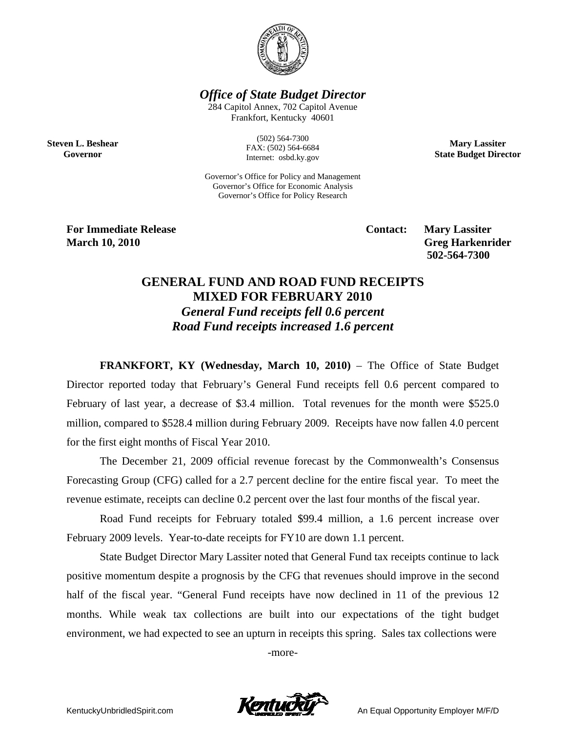

*Office of State Budget Director* 

284 Capitol Annex, 702 Capitol Avenue Frankfort, Kentucky 40601

**Steven L. Beshear Governor** 

(502) 564-7300 FAX: (502) 564-6684 Internet: osbd.ky.gov

**Mary Lassiter State Budget Director** 

Governor's Office for Policy and Management Governor's Office for Economic Analysis Governor's Office for Policy Research

**For Immediate Release Service Service Service Contact: Mary Lassiter March 10, 2010** Greg Harkenrider **Greg Harkenrider Greg Harkenrider Greg Harkenrider** 

 **502-564-7300** 

## **GENERAL FUND AND ROAD FUND RECEIPTS MIXED FOR FEBRUARY 2010**  *General Fund receipts fell 0.6 percent Road Fund receipts increased 1.6 percent*

**FRANKFORT, KY (Wednesday, March 10, 2010)** – The Office of State Budget Director reported today that February's General Fund receipts fell 0.6 percent compared to February of last year, a decrease of \$3.4 million. Total revenues for the month were \$525.0 million, compared to \$528.4 million during February 2009. Receipts have now fallen 4.0 percent for the first eight months of Fiscal Year 2010.

The December 21, 2009 official revenue forecast by the Commonwealth's Consensus Forecasting Group (CFG) called for a 2.7 percent decline for the entire fiscal year. To meet the revenue estimate, receipts can decline 0.2 percent over the last four months of the fiscal year.

Road Fund receipts for February totaled \$99.4 million, a 1.6 percent increase over February 2009 levels. Year-to-date receipts for FY10 are down 1.1 percent.

State Budget Director Mary Lassiter noted that General Fund tax receipts continue to lack positive momentum despite a prognosis by the CFG that revenues should improve in the second half of the fiscal year. "General Fund receipts have now declined in 11 of the previous 12 months. While weak tax collections are built into our expectations of the tight budget environment, we had expected to see an upturn in receipts this spring. Sales tax collections were

-more-

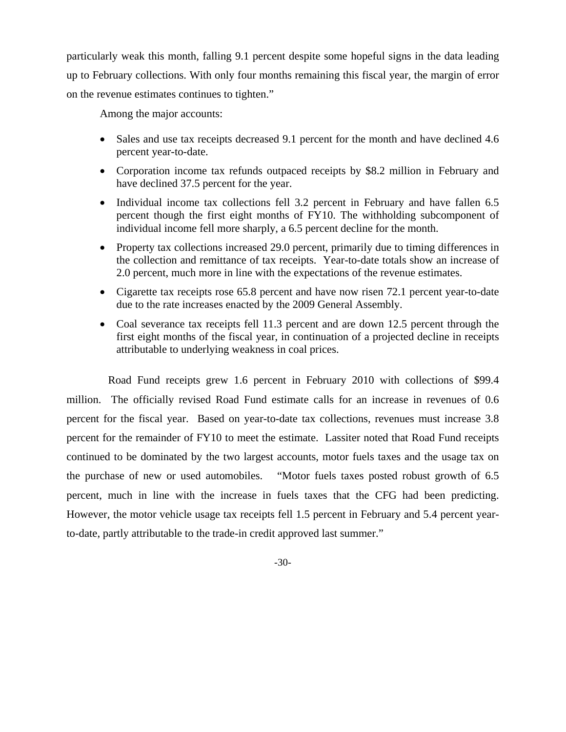particularly weak this month, falling 9.1 percent despite some hopeful signs in the data leading up to February collections. With only four months remaining this fiscal year, the margin of error on the revenue estimates continues to tighten."

Among the major accounts:

- Sales and use tax receipts decreased 9.1 percent for the month and have declined 4.6 percent year-to-date.
- Corporation income tax refunds outpaced receipts by \$8.2 million in February and have declined 37.5 percent for the year.
- Individual income tax collections fell 3.2 percent in February and have fallen 6.5 percent though the first eight months of FY10. The withholding subcomponent of individual income fell more sharply, a 6.5 percent decline for the month.
- Property tax collections increased 29.0 percent, primarily due to timing differences in the collection and remittance of tax receipts. Year-to-date totals show an increase of 2.0 percent, much more in line with the expectations of the revenue estimates.
- Cigarette tax receipts rose 65.8 percent and have now risen 72.1 percent year-to-date due to the rate increases enacted by the 2009 General Assembly.
- Coal severance tax receipts fell 11.3 percent and are down 12.5 percent through the first eight months of the fiscal year, in continuation of a projected decline in receipts attributable to underlying weakness in coal prices.

 Road Fund receipts grew 1.6 percent in February 2010 with collections of \$99.4 million. The officially revised Road Fund estimate calls for an increase in revenues of 0.6 percent for the fiscal year. Based on year-to-date tax collections, revenues must increase 3.8 percent for the remainder of FY10 to meet the estimate. Lassiter noted that Road Fund receipts continued to be dominated by the two largest accounts, motor fuels taxes and the usage tax on the purchase of new or used automobiles. "Motor fuels taxes posted robust growth of 6.5 percent, much in line with the increase in fuels taxes that the CFG had been predicting. However, the motor vehicle usage tax receipts fell 1.5 percent in February and 5.4 percent yearto-date, partly attributable to the trade-in credit approved last summer."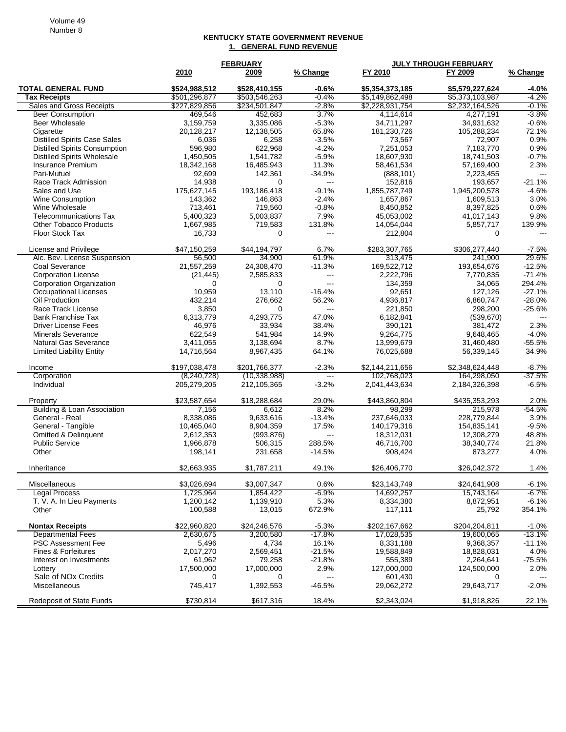## **KENTUCKY STATE GOVERNMENT REVENUE 1. GENERAL FUND REVENUE**

|                                      | <b>FEBRUARY</b> |                |                          | <b>JULY THROUGH FEBRUARY</b> |                 |                |  |
|--------------------------------------|-----------------|----------------|--------------------------|------------------------------|-----------------|----------------|--|
|                                      | 2010            | 2009           | % Change                 | FY 2010                      | FY 2009         | % Change       |  |
| <b>TOTAL GENERAL FUND</b>            | \$524,988,512   | \$528,410,155  | $-0.6%$                  | \$5,354,373,185              | \$5,579,227,624 | $-4.0%$        |  |
| <b>Tax Receipts</b>                  | \$501,296,877   | \$503,546,263  | $-0.4%$                  | \$5,149,862,498              | \$5,373,103,987 | $-4.2%$        |  |
| Sales and Gross Receipts             | \$227,829,856   | \$234,501,847  | $-2.8%$                  | \$2,228,931,754              | \$2,232,164,526 | $-0.1%$        |  |
| <b>Beer Consumption</b>              | 469,546         | 452,683        | 3.7%                     | 4,114,614                    | 4,277,191       | $-3.8%$        |  |
| Beer Wholesale                       | 3,159,759       | 3,335,086      | $-5.3%$                  | 34.711.297                   | 34,931,632      | $-0.6%$        |  |
| Cigarette                            | 20,128,217      | 12,138,505     | 65.8%                    | 181,230,726                  | 105,288,234     | 72.1%          |  |
| <b>Distilled Spirits Case Sales</b>  | 6,036           | 6,258          | $-3.5%$                  | 73,567                       | 72,907          | 0.9%           |  |
| <b>Distilled Spirits Consumption</b> | 596,980         | 622,968        | $-4.2%$                  | 7,251,053                    | 7,183,770       | 0.9%           |  |
| <b>Distilled Spirits Wholesale</b>   | 1,450,505       | 1,541,782      | $-5.9%$                  | 18,607,930                   | 18,741,503      | $-0.7%$        |  |
| Insurance Premium                    | 18,342,168      | 16,485,943     | 11.3%                    | 58,461,534                   | 57,169,400      | 2.3%           |  |
| Pari-Mutuel                          | 92,699          | 142,361        | $-34.9%$                 | (888, 101)                   | 2,223,455       | $---$          |  |
| Race Track Admission                 | 14,938          | $\Omega$       | $\overline{\phantom{a}}$ | 152,816                      | 193,657         | $-21.1%$       |  |
| Sales and Use                        | 175,627,145     | 193,186,418    | $-9.1%$                  | 1,855,787,749                | 1,945,200,578   | $-4.6%$        |  |
| <b>Wine Consumption</b>              | 143,362         | 146,863        | $-2.4%$                  | 1,657,867                    | 1,609,513       | 3.0%           |  |
| Wine Wholesale                       | 713,461         | 719,560        | $-0.8%$                  | 8,450,852                    | 8,397,825       | 0.6%           |  |
| <b>Telecommunications Tax</b>        | 5,400,323       | 5,003,837      | 7.9%                     | 45,053,002                   | 41,017,143      | 9.8%           |  |
| <b>Other Tobacco Products</b>        | 1,667,985       | 719,583        | 131.8%                   | 14,054,044                   | 5,857,717       | 139.9%         |  |
| Floor Stock Tax                      | 16,733          | 0              | $---$                    | 212,804                      | $\mathbf 0$     | $\overline{a}$ |  |
| License and Privilege                | \$47,150,259    | \$44,194,797   | 6.7%                     | \$283,307,765                | \$306,277,440   | $-7.5%$        |  |
| Alc. Bev. License Suspension         | 56,500          | 34,900         | 61.9%                    | 313,475                      | 241,900         | 29.6%          |  |
| Coal Severance                       | 21,557,259      | 24,308,470     | $-11.3%$                 | 169,522,712                  | 193,654,676     | $-12.5%$       |  |
| <b>Corporation License</b>           | (21, 445)       | 2,585,833      | $\overline{\phantom{a}}$ | 2,222,796                    | 7,770,835       | $-71.4%$       |  |
| <b>Corporation Organization</b>      | $\Omega$        | 0              | ---                      | 134,359                      | 34,065          | 294.4%         |  |
| <b>Occupational Licenses</b>         | 10,959          | 13,110         | $-16.4%$                 | 92,651                       | 127,126         | $-27.1%$       |  |
| Oil Production                       | 432,214         | 276,662        | 56.2%                    | 4,936,817                    | 6,860,747       | $-28.0%$       |  |
| Race Track License                   | 3,850           | 0              | $---$                    | 221,850                      | 298,200         | $-25.6%$       |  |
| <b>Bank Franchise Tax</b>            | 6,313,779       | 4,293,775      | 47.0%                    | 6,182,841                    | (539, 670)      | $---$          |  |
| <b>Driver License Fees</b>           | 46,976          | 33,934         | 38.4%                    | 390,121                      | 381,472         | 2.3%           |  |
| <b>Minerals Severance</b>            | 622,549         | 541,984        | 14.9%                    | 9,264,775                    | 9,648,465       | $-4.0%$        |  |
| <b>Natural Gas Severance</b>         | 3,411,055       | 3,138,694      | 8.7%                     | 13,999,679                   | 31,460,480      | $-55.5%$       |  |
| <b>Limited Liability Entity</b>      | 14,716,564      | 8,967,435      | 64.1%                    | 76,025,688                   | 56,339,145      | 34.9%          |  |
| Income                               | \$197,038,478   | \$201,766,377  | $-2.3%$                  | \$2,144,211,656              | \$2,348,624,448 | $-8.7%$        |  |
| Corporation                          | (8,240,728)     | (10, 338, 988) | $\overline{\phantom{a}}$ | 102,768,023                  | 164,298,050     | $-37.5%$       |  |
| Individual                           | 205,279,205     | 212,105,365    | $-3.2%$                  | 2,041,443,634                | 2,184,326,398   | $-6.5%$        |  |
| Property                             | \$23,587,654    | \$18,288,684   | 29.0%                    | \$443,860,804                | \$435,353,293   | 2.0%           |  |
| Building & Loan Association          | 7,156           | 6,612          | 8.2%                     | 98,299                       | 215,978         | $-54.5%$       |  |
| General - Real                       | 8,338,086       | 9,633,616      | $-13.4%$                 | 237,646,033                  | 228,779,844     | 3.9%           |  |
| General - Tangible                   | 10,465,040      | 8,904,359      | 17.5%                    | 140,179,316                  | 154,835,141     | $-9.5%$        |  |
| <b>Omitted &amp; Delinquent</b>      | 2,612,353       | (993, 876)     | $---$                    | 18,312,031                   | 12,308,279      | 48.8%          |  |
| <b>Public Service</b>                | 1,966,878       | 506,315        | 288.5%                   | 46,716,700                   | 38,340,774      | 21.8%          |  |
| Other                                | 198,141         | 231,658        | $-14.5%$                 | 908,424                      | 873,277         | 4.0%           |  |
| Inheritance                          | \$2,663,935     | \$1,787,211    | 49.1%                    | \$26,406,770                 | \$26,042,372    | 1.4%           |  |
| Miscellaneous                        | \$3,026,694     | \$3.007.347    | 0.6%                     | \$23,143,749                 | \$24,641,908    | $-6.1%$        |  |
| <b>Legal Process</b>                 | 1,725,964       | 1,854,422      | -6.9%                    | 14,692,257                   | 15,743,164      | $-6.7\%$       |  |
| T. V. A. In Lieu Payments            | 1,200,142       | 1,139,910      | 5.3%                     | 8,334,380                    | 8,872,951       | $-6.1%$        |  |
| Other                                | 100,588         | 13,015         | 672.9%                   | 117,111                      | 25,792          | 354.1%         |  |
| <b>Nontax Receipts</b>               | \$22,960,820    | \$24,246,576   | $-5.3%$                  | \$202,167,662                | \$204,204,811   | $-1.0%$        |  |
| <b>Departmental Fees</b>             | 2,630,675       | 3,200,580      | $-17.8%$                 | 17,028,535                   | 19,600,065      | $-13.1%$       |  |
| <b>PSC Assessment Fee</b>            | 5,496           | 4,734          | 16.1%                    | 8,331,188                    | 9,368,357       | $-11.1%$       |  |
| Fines & Forfeitures                  | 2,017,270       | 2,569,451      | $-21.5%$                 | 19,588,849                   | 18,828,031      | 4.0%           |  |
| Interest on Investments              | 61,962          | 79,258         | $-21.8%$                 | 555,389                      | 2,264,641       | $-75.5%$       |  |
| Lottery                              | 17,500,000      | 17,000,000     | 2.9%                     | 127,000,000                  | 124,500,000     | 2.0%           |  |
| Sale of NO <sub>x</sub> Credits      | 0               | 0              | $\sim$ $\sim$            | 601,430                      | 0               | $\sim$ $\sim$  |  |
| Miscellaneous                        | 745,417         | 1,392,553      | $-46.5%$                 | 29,062,272                   | 29,643,717      | $-2.0%$        |  |
| <b>Redeposit of State Funds</b>      | \$730,814       | \$617,316      | 18.4%                    | \$2,343,024                  | \$1,918,826     | 22.1%          |  |